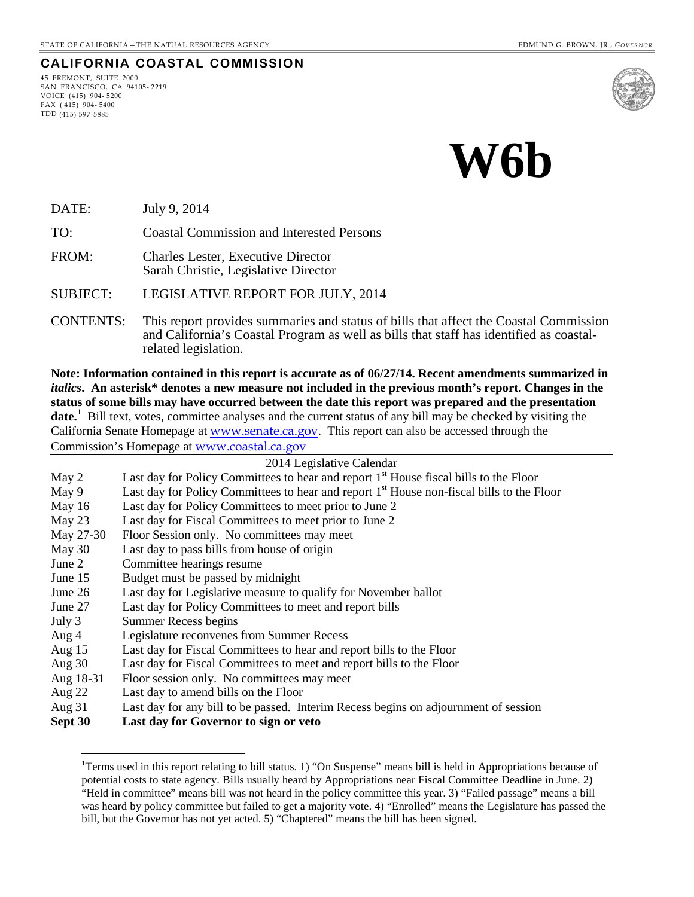# **CALIFORNIA COASTAL COMMISSION**

45 FREMONT, SUITE 2000 SAN FRANCISCO, CA 94105- 2219 VOICE (415) 904- 5200  $FAX (415) 904 - 5400$ TDD (415) 597-5885



DATE: July 9, 2014

TO: Coastal Commission and Interested Persons

FROM: Charles Lester, Executive Director Sarah Christie, Legislative Director

SUBJECT: LEGISLATIVE REPORT FOR JULY, 2014

CONTENTS: This report provides summaries and status of bills that affect the Coastal Commission and California's Coastal Program as well as bills that staff has identified as coastal- related legislation.

**Note: Information contained in this report is accurate as of 06/27/14. Recent amendments summarized in**  *italics***. An asterisk\* denotes a new measure not included in the previous month's report. Changes in the status of some bills may have occurred between the date this report was prepared and the presentation**  date.<sup>[1](#page-0-0)</sup> Bill text, votes, committee analyses and the current status of any bill may be checked by visiting the California Senate Homepage at [www.senate.ca.gov](http://www.senate.ca.gov/). This report can also be accessed through the Commission's Homepage at [www.coastal.ca.gov](http://www.coastal.ca.gov/)

| 2014 Legislative Calendar |                                                                                                       |  |
|---------------------------|-------------------------------------------------------------------------------------------------------|--|
| May 2                     | Last day for Policy Committees to hear and report 1 <sup>st</sup> House fiscal bills to the Floor     |  |
| May 9                     | Last day for Policy Committees to hear and report 1 <sup>st</sup> House non-fiscal bills to the Floor |  |
| May $16$                  | Last day for Policy Committees to meet prior to June 2                                                |  |
| May $23$                  | Last day for Fiscal Committees to meet prior to June 2                                                |  |
| May 27-30                 | Floor Session only. No committees may meet                                                            |  |
| May 30                    | Last day to pass bills from house of origin                                                           |  |
| June $21$                 | Committee hearings resume                                                                             |  |
| June 15                   | Budget must be passed by midnight                                                                     |  |
| June 26                   | Last day for Legislative measure to qualify for November ballot                                       |  |
| June 27                   | Last day for Policy Committees to meet and report bills                                               |  |
| July 3                    | Summer Recess begins                                                                                  |  |
| Aug $4$                   | Legislature reconvenes from Summer Recess                                                             |  |
| Aug $15$                  | Last day for Fiscal Committees to hear and report bills to the Floor                                  |  |
| Aug $30$                  | Last day for Fiscal Committees to meet and report bills to the Floor                                  |  |
| Aug 18-31                 | Floor session only. No committees may meet                                                            |  |
| Aug $22$                  | Last day to amend bills on the Floor                                                                  |  |
| Aug $31$                  | Last day for any bill to be passed. Interim Recess begins on adjournment of session                   |  |

<span id="page-0-0"></span>**Sept 30 Last day for Governor to sign or veto** 

 $\overline{a}$ 

<sup>&</sup>lt;sup>1</sup>Terms used in this report relating to bill status. 1) "On Suspense" means bill is held in Appropriations because of potential costs to state agency. Bills usually heard by Appropriations near Fiscal Committee Deadline in June. 2) "Held in committee" means bill was not heard in the policy committee this year. 3) "Failed passage" means a bill was heard by policy committee but failed to get a majority vote. 4) "Enrolled" means the Legislature has passed the bill, but the Governor has not yet acted. 5) "Chaptered" means the bill has been signed.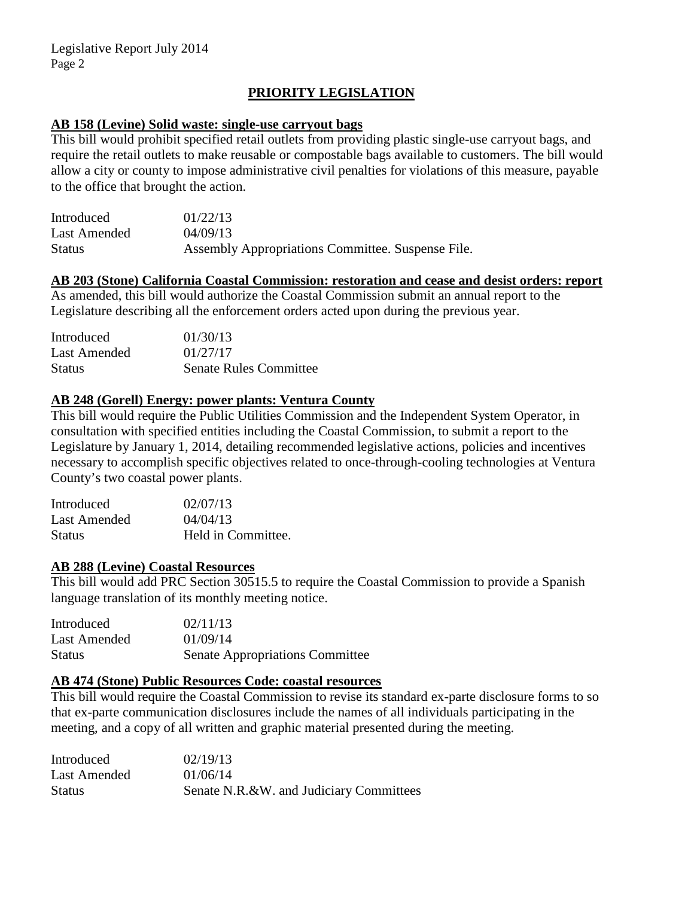# **PRIORITY LEGISLATION**

#### **AB 158 (Levine) Solid waste: single-use carryout bags**

This bill would prohibit specified retail outlets from providing plastic single-use carryout bags, and require the retail outlets to make reusable or compostable bags available to customers. The bill would allow a city or county to impose administrative civil penalties for violations of this measure, payable to the office that brought the action.

| Introduced    | 01/22/13                                          |
|---------------|---------------------------------------------------|
| Last Amended  | 04/09/13                                          |
| <b>Status</b> | Assembly Appropriations Committee. Suspense File. |

# **AB 203 (Stone) California Coastal Commission: restoration and cease and desist orders: report**

As amended, this bill would authorize the Coastal Commission submit an annual report to the Legislature describing all the enforcement orders acted upon during the previous year.

| Introduced    | 01/30/13                      |
|---------------|-------------------------------|
| Last Amended  | 01/27/17                      |
| <b>Status</b> | <b>Senate Rules Committee</b> |

# **AB 248 (Gorell) Energy: power plants: Ventura County**

This bill would require the Public Utilities Commission and the Independent System Operator, in consultation with specified entities including the Coastal Commission, to submit a report to the Legislature by January 1, 2014, detailing recommended legislative actions, policies and incentives necessary to accomplish specific objectives related to once-through-cooling technologies at Ventura County's two coastal power plants.

| Introduced    | 02/07/13           |
|---------------|--------------------|
| Last Amended  | 04/04/13           |
| <b>Status</b> | Held in Committee. |

#### **AB 288 (Levine) Coastal Resources**

This bill would add PRC Section 30515.5 to require the Coastal Commission to provide a Spanish language translation of its monthly meeting notice.

| Introduced    | 02/11/13                               |
|---------------|----------------------------------------|
| Last Amended  | 01/09/14                               |
| <b>Status</b> | <b>Senate Appropriations Committee</b> |

# **AB 474 (Stone) Public Resources Code: coastal resources**

This bill would require the Coastal Commission to revise its standard ex-parte disclosure forms to so that ex-parte communication disclosures include the names of all individuals participating in the meeting, and a copy of all written and graphic material presented during the meeting.

| Introduced    | 02/19/13                                |
|---------------|-----------------------------------------|
| Last Amended  | 01/06/14                                |
| <b>Status</b> | Senate N.R.&W. and Judiciary Committees |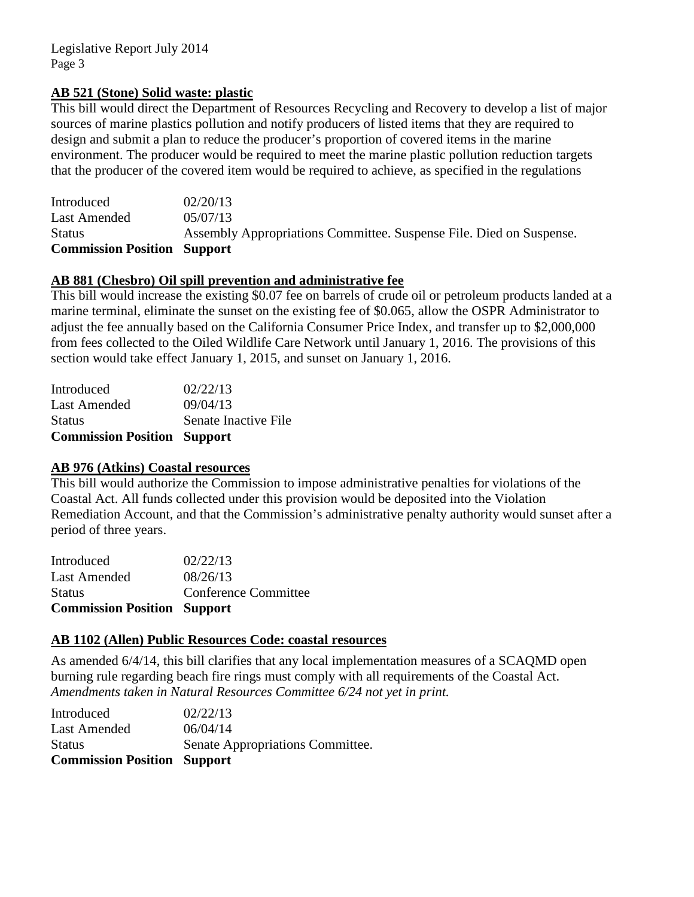# **AB 521 (Stone) Solid waste: plastic**

This bill would direct the Department of Resources Recycling and Recovery to develop a list of major sources of marine plastics pollution and notify producers of listed items that they are required to design and submit a plan to reduce the producer's proportion of covered items in the marine environment. The producer would be required to meet the marine plastic pollution reduction targets that the producer of the covered item would be required to achieve, as specified in the regulations

| <b>Commission Position Support</b> |                                                                     |
|------------------------------------|---------------------------------------------------------------------|
| <b>Status</b>                      | Assembly Appropriations Committee. Suspense File. Died on Suspense. |
| Last Amended                       | 05/07/13                                                            |
| Introduced                         | 02/20/13                                                            |

# **AB 881 (Chesbro) Oil spill prevention and administrative fee**

This bill would increase the existing \$0.07 fee on barrels of crude oil or petroleum products landed at a marine terminal, eliminate the sunset on the existing fee of \$0.065, allow the OSPR Administrator to adjust the fee annually based on the California Consumer Price Index, and transfer up to \$2,000,000 from fees collected to the Oiled Wildlife Care Network until January 1, 2016. The provisions of this section would take effect January 1, 2015, and sunset on January 1, 2016.

| <b>Commission Position Support</b> |                      |
|------------------------------------|----------------------|
| <b>Status</b>                      | Senate Inactive File |
| <b>Last Amended</b>                | 09/04/13             |
| Introduced                         | 02/22/13             |

#### **AB 976 (Atkins) Coastal resources**

This bill would authorize the Commission to impose administrative penalties for violations of the Coastal Act. All funds collected under this provision would be deposited into the Violation Remediation Account, and that the Commission's administrative penalty authority would sunset after a period of three years.

| Conference Committee |
|----------------------|
|                      |
|                      |
|                      |

# **AB 1102 (Allen) Public Resources Code: coastal resources**

As amended 6/4/14, this bill clarifies that any local implementation measures of a SCAQMD open burning rule regarding beach fire rings must comply with all requirements of the Coastal Act. *Amendments taken in Natural Resources Committee 6/24 not yet in print.*

| <b>Commission Position Support</b> |                                  |
|------------------------------------|----------------------------------|
| <b>Status</b>                      | Senate Appropriations Committee. |
| <b>Last Amended</b>                | 06/04/14                         |
| Introduced                         | 02/22/13                         |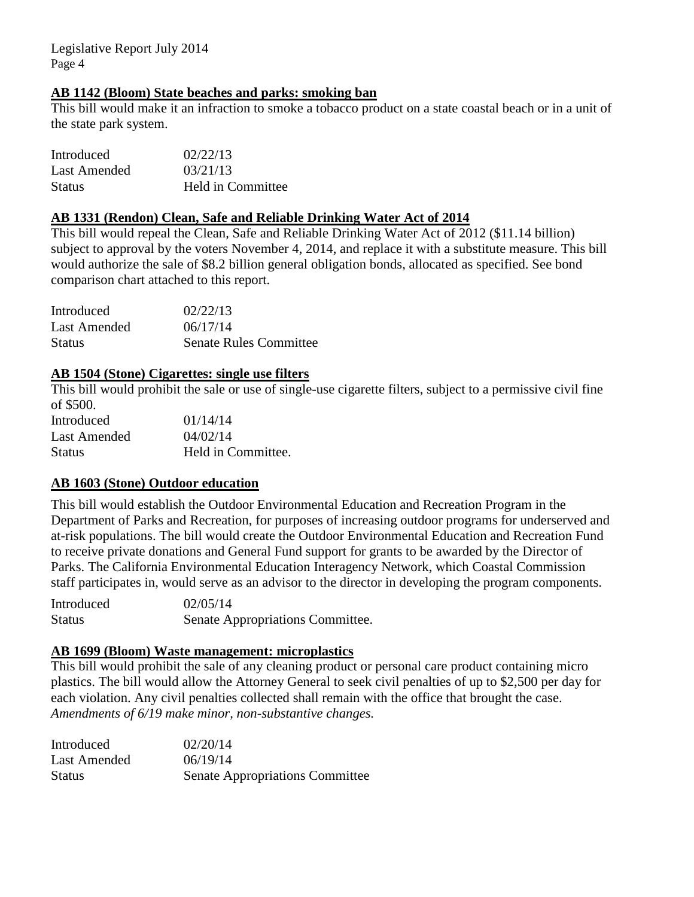# **AB 1142 (Bloom) State beaches and parks: smoking ban**

This bill would make it an infraction to smoke a tobacco product on a state coastal beach or in a unit of the state park system.

| Introduced    | 02/22/13          |
|---------------|-------------------|
| Last Amended  | 03/21/13          |
| <b>Status</b> | Held in Committee |

#### **AB 1331 (Rendon) Clean, Safe and Reliable Drinking Water Act of 2014**

This bill would repeal the Clean, Safe and Reliable Drinking Water Act of 2012 (\$11.14 billion) subject to approval by the voters November 4, 2014, and replace it with a substitute measure. This bill would authorize the sale of \$8.2 billion general obligation bonds, allocated as specified. See bond comparison chart attached to this report.

| Introduced    | 02/22/13                      |
|---------------|-------------------------------|
| Last Amended  | 06/17/14                      |
| <b>Status</b> | <b>Senate Rules Committee</b> |

# **AB 1504 (Stone) Cigarettes: single use filters**

This bill would prohibit the sale or use of single-use cigarette filters, subject to a permissive civil fine of \$500.

| Introduced    | 01/14/14           |
|---------------|--------------------|
| Last Amended  | 04/02/14           |
| <b>Status</b> | Held in Committee. |

# **AB 1603 (Stone) Outdoor education**

This bill would establish the Outdoor Environmental Education and Recreation Program in the Department of Parks and Recreation, for purposes of increasing outdoor programs for underserved and at-risk populations. The bill would create the Outdoor Environmental Education and Recreation Fund to receive private donations and General Fund support for grants to be awarded by the Director of Parks. The California Environmental Education Interagency Network, which Coastal Commission staff participates in, would serve as an advisor to the director in developing the program components.

Introduced 02/05/14 Status Senate Appropriations Committee.

# **AB 1699 (Bloom) Waste management: microplastics**

This bill would prohibit the sale of any cleaning product or personal care product containing micro plastics. The bill would allow the Attorney General to seek civil penalties of up to \$2,500 per day for each violation. Any civil penalties collected shall remain with the office that brought the case. *Amendments of 6/19 make minor, non-substantive changes.*

| Introduced    | 02/20/14                               |
|---------------|----------------------------------------|
| Last Amended  | 06/19/14                               |
| <b>Status</b> | <b>Senate Appropriations Committee</b> |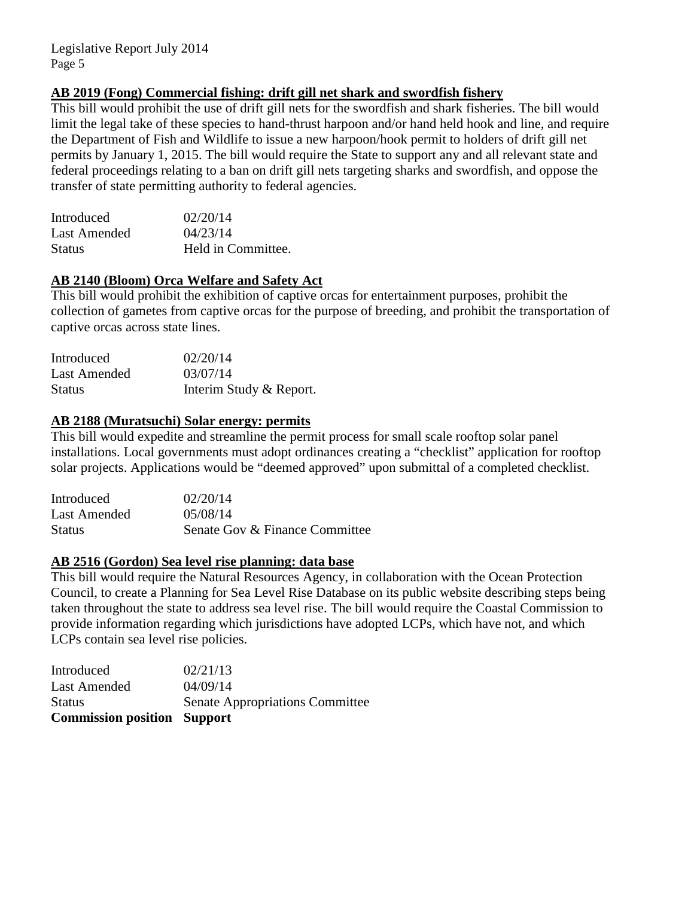# **AB 2019 (Fong) Commercial fishing: drift gill net shark and swordfish fishery**

This bill would prohibit the use of drift gill nets for the swordfish and shark fisheries. The bill would limit the legal take of these species to hand-thrust harpoon and/or hand held hook and line, and require the Department of Fish and Wildlife to issue a new harpoon/hook permit to holders of drift gill net permits by January 1, 2015. The bill would require the State to support any and all relevant state and federal proceedings relating to a ban on drift gill nets targeting sharks and swordfish, and oppose the transfer of state permitting authority to federal agencies.

| Introduced    | 02/20/14           |
|---------------|--------------------|
| Last Amended  | 04/23/14           |
| <b>Status</b> | Held in Committee. |

# **AB 2140 (Bloom) Orca Welfare and Safety Act**

This bill would prohibit the exhibition of captive orcas for entertainment purposes, prohibit the collection of gametes from captive orcas for the purpose of breeding, and prohibit the transportation of captive orcas across state lines.

| Introduced          | 02/20/14                |
|---------------------|-------------------------|
| <b>Last Amended</b> | 03/07/14                |
| <b>Status</b>       | Interim Study & Report. |

#### **AB 2188 (Muratsuchi) Solar energy: permits**

This bill would expedite and streamline the permit process for small scale rooftop solar panel installations. Local governments must adopt ordinances creating a "checklist" application for rooftop solar projects. Applications would be "deemed approved" upon submittal of a completed checklist.

| Introduced    | 02/20/14                       |
|---------------|--------------------------------|
| Last Amended  | 05/08/14                       |
| <b>Status</b> | Senate Gov & Finance Committee |

# **AB 2516 (Gordon) Sea level rise planning: data base**

This bill would require the Natural Resources Agency, in collaboration with the Ocean Protection Council, to create a Planning for Sea Level Rise Database on its public website describing steps being taken throughout the state to address sea level rise. The bill would require the Coastal Commission to provide information regarding which jurisdictions have adopted LCPs, which have not, and which LCPs contain sea level rise policies.

| <b>Commission position Support</b> |                                        |
|------------------------------------|----------------------------------------|
| <b>Status</b>                      | <b>Senate Appropriations Committee</b> |
| Last Amended                       | 04/09/14                               |
| Introduced                         | 02/21/13                               |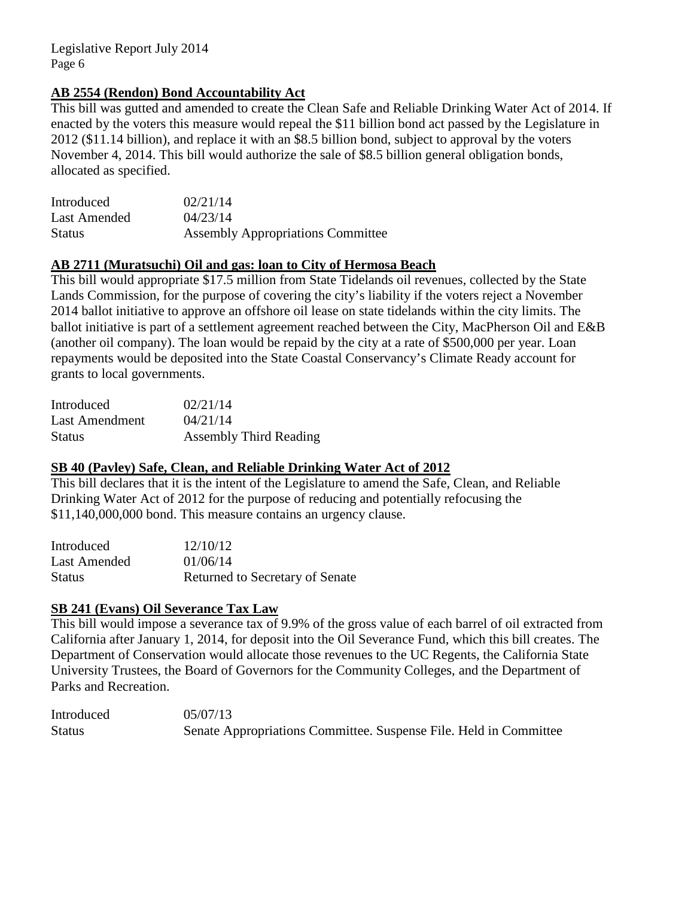# **AB 2554 (Rendon) Bond Accountability Act**

This bill was gutted and amended to create the Clean Safe and Reliable Drinking Water Act of 2014. If enacted by the voters this measure would repeal the \$11 billion bond act passed by the Legislature in 2012 (\$11.14 billion), and replace it with an \$8.5 billion bond, subject to approval by the voters November 4, 2014. This bill would authorize the sale of \$8.5 billion general obligation bonds, allocated as specified.

| Introduced    | 02/21/14                                 |
|---------------|------------------------------------------|
| Last Amended  | 04/23/14                                 |
| <b>Status</b> | <b>Assembly Appropriations Committee</b> |

## **AB 2711 (Muratsuchi) Oil and gas: loan to City of Hermosa Beach**

This bill would appropriate \$17.5 million from State Tidelands oil revenues, collected by the State Lands Commission, for the purpose of covering the city's liability if the voters reject a November 2014 ballot initiative to approve an offshore oil lease on state tidelands within the city limits. The ballot initiative is part of a settlement agreement reached between the City, MacPherson Oil and E&B (another oil company). The loan would be repaid by the city at a rate of \$500,000 per year. Loan repayments would be deposited into the State Coastal Conservancy's Climate Ready account for grants to local governments.

| Introduced     | 02/21/14                      |
|----------------|-------------------------------|
| Last Amendment | 04/21/14                      |
| <b>Status</b>  | <b>Assembly Third Reading</b> |

#### **SB 40 (Pavley) Safe, Clean, and Reliable Drinking Water Act of 2012**

This bill declares that it is the intent of the Legislature to amend the Safe, Clean, and Reliable Drinking Water Act of 2012 for the purpose of reducing and potentially refocusing the \$11,140,000,000 bond. This measure contains an urgency clause.

| Introduced    | 12/10/12                        |
|---------------|---------------------------------|
| Last Amended  | 01/06/14                        |
| <b>Status</b> | Returned to Secretary of Senate |

#### **SB 241 (Evans) Oil Severance Tax Law**

This bill would impose a severance tax of 9.9% of the gross value of each barrel of oil extracted from California after January 1, 2014, for deposit into the Oil Severance Fund, which this bill creates. The Department of Conservation would allocate those revenues to the UC Regents, the California State University Trustees, the Board of Governors for the Community Colleges, and the Department of Parks and Recreation.

Introduced 05/07/13 Status Senate Appropriations Committee. Suspense File. Held in Committee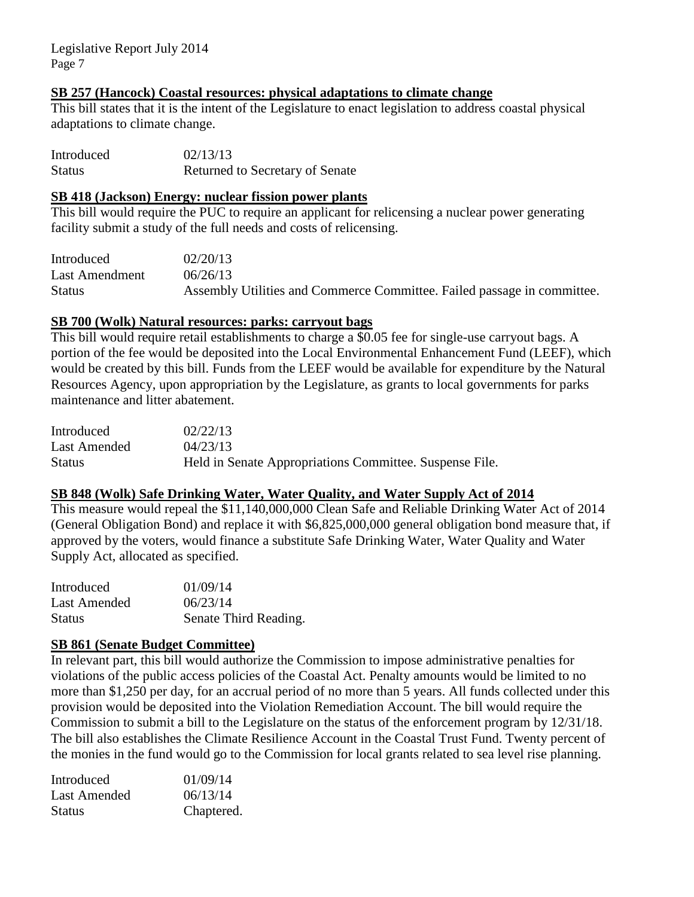#### **SB 257 (Hancock) Coastal resources: physical adaptations to climate change**

This bill states that it is the intent of the Legislature to enact legislation to address coastal physical adaptations to climate change.

| Introduced    | 02/13/13                        |
|---------------|---------------------------------|
| <b>Status</b> | Returned to Secretary of Senate |

#### **SB 418 (Jackson) Energy: nuclear fission power plants**

This bill would require the PUC to require an applicant for relicensing a nuclear power generating facility submit a study of the full needs and costs of relicensing.

| Introduced     | 02/20/13                                                                |
|----------------|-------------------------------------------------------------------------|
| Last Amendment | 06/26/13                                                                |
| <b>Status</b>  | Assembly Utilities and Commerce Committee. Failed passage in committee. |

# **SB 700 (Wolk) Natural resources: parks: carryout bags**

This bill would require retail establishments to charge a \$0.05 fee for single-use carryout bags. A portion of the fee would be deposited into the Local Environmental Enhancement Fund (LEEF), which would be created by this bill. Funds from the LEEF would be available for expenditure by the Natural Resources Agency, upon appropriation by the Legislature, as grants to local governments for parks maintenance and litter abatement.

| Introduced    | 02/22/13                                                |
|---------------|---------------------------------------------------------|
| Last Amended  | 04/23/13                                                |
| <b>Status</b> | Held in Senate Appropriations Committee. Suspense File. |

# **SB 848 (Wolk) Safe Drinking Water, Water Quality, and Water Supply Act of 2014**

This measure would repeal the \$11,140,000,000 Clean Safe and Reliable Drinking Water Act of 2014 (General Obligation Bond) and replace it with \$6,825,000,000 general obligation bond measure that, if approved by the voters, would finance a substitute Safe Drinking Water, Water Quality and Water Supply Act, allocated as specified.

| Introduced    | 01/09/14              |
|---------------|-----------------------|
| Last Amended  | 06/23/14              |
| <b>Status</b> | Senate Third Reading. |

# **SB 861 (Senate Budget Committee)**

In relevant part, this bill would authorize the Commission to impose administrative penalties for violations of the public access policies of the Coastal Act. Penalty amounts would be limited to no more than \$1,250 per day, for an accrual period of no more than 5 years. All funds collected under this provision would be deposited into the Violation Remediation Account. The bill would require the Commission to submit a bill to the Legislature on the status of the enforcement program by 12/31/18. The bill also establishes the Climate Resilience Account in the Coastal Trust Fund. Twenty percent of the monies in the fund would go to the Commission for local grants related to sea level rise planning.

| Introduced    | 01/09/14   |
|---------------|------------|
| Last Amended  | 06/13/14   |
| <b>Status</b> | Chaptered. |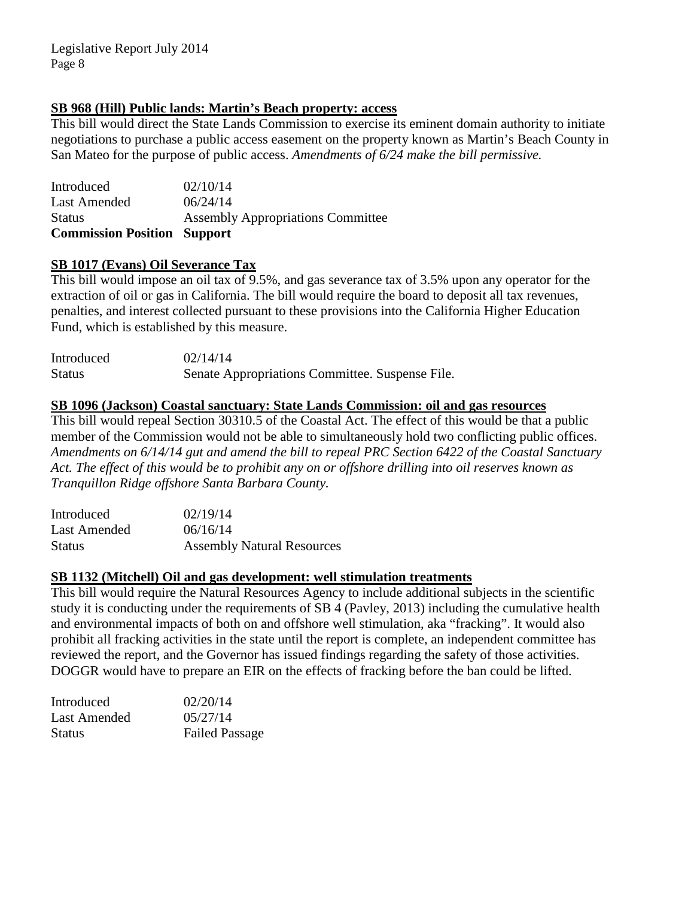# **SB 968 (Hill) Public lands: Martin's Beach property: access**

This bill would direct the State Lands Commission to exercise its eminent domain authority to initiate negotiations to purchase a public access easement on the property known as Martin's Beach County in San Mateo for the purpose of public access. *Amendments of 6/24 make the bill permissive.*

Introduced 02/10/14 Last Amended  $06/24/14$ Status Assembly Appropriations Committee **Commission Position Support**

# **SB 1017 (Evans) Oil Severance Tax**

This bill would impose an oil tax of 9.5%, and gas severance tax of 3.5% upon any operator for the extraction of oil or gas in California. The bill would require the board to deposit all tax revenues, penalties, and interest collected pursuant to these provisions into the California Higher Education Fund, which is established by this measure.

| Introduced    | 02/14/14                                        |
|---------------|-------------------------------------------------|
| <b>Status</b> | Senate Appropriations Committee. Suspense File. |

# **SB 1096 (Jackson) Coastal sanctuary: State Lands Commission: oil and gas resources**

This bill would repeal Section 30310.5 of the Coastal Act. The effect of this would be that a public member of the Commission would not be able to simultaneously hold two conflicting public offices. *Amendments on 6/14/14 gut and amend the bill to repeal PRC Section 6422 of the Coastal Sanctuary Act. The effect of this would be to prohibit any on or offshore drilling into oil reserves known as Tranquillon Ridge offshore Santa Barbara County.*

| Introduced    | 02/19/14                          |
|---------------|-----------------------------------|
| Last Amended  | 06/16/14                          |
| <b>Status</b> | <b>Assembly Natural Resources</b> |

# **SB 1132 (Mitchell) Oil and gas development: well stimulation treatments**

This bill would require the Natural Resources Agency to include additional subjects in the scientific study it is conducting under the requirements of SB 4 (Pavley, 2013) including the cumulative health and environmental impacts of both on and offshore well stimulation, aka "fracking". It would also prohibit all fracking activities in the state until the report is complete, an independent committee has reviewed the report, and the Governor has issued findings regarding the safety of those activities. DOGGR would have to prepare an EIR on the effects of fracking before the ban could be lifted.

| Introduced    | 02/20/14              |
|---------------|-----------------------|
| Last Amended  | 05/27/14              |
| <b>Status</b> | <b>Failed Passage</b> |